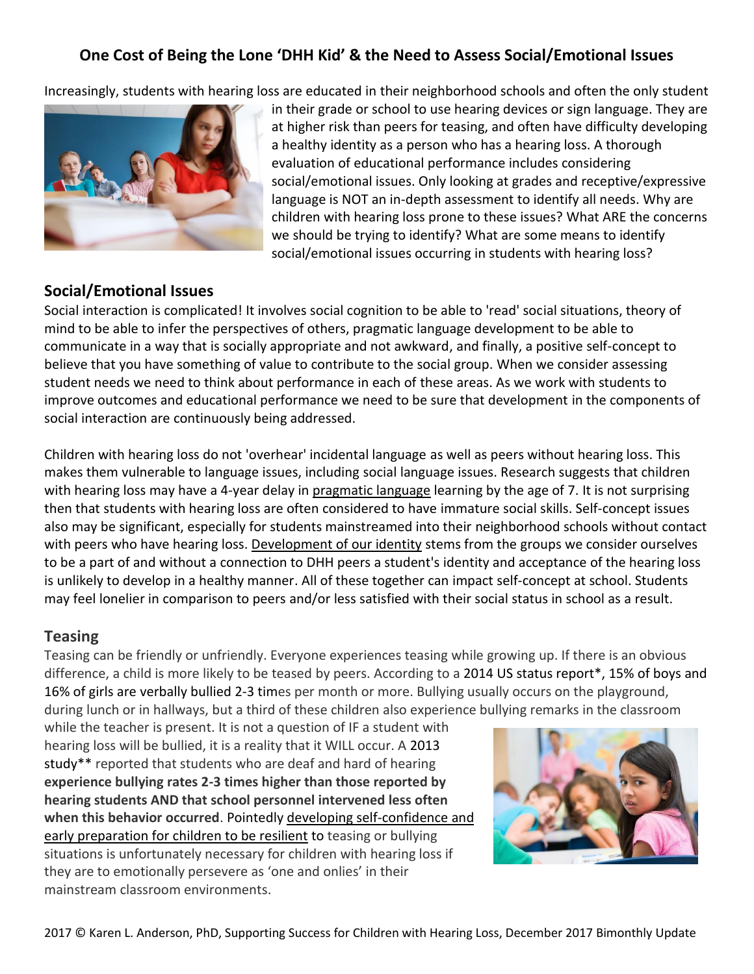# **One Cost of Being the Lone 'DHH Kid' & the Need to Assess Social/Emotional Issues**

Increasingly, students with hearing loss are educated in their neighborhood schools and often the only student



in their grade or school to use hearing devices or sign language. They are at higher risk than peers for teasing, and often have difficulty developing a healthy identity as a person who has a hearing loss. A thorough evaluation of educational performance includes considering social/emotional issues. Only looking at grades and receptive/expressive language is NOT an in-depth assessment to identify all needs. Why are children with hearing loss prone to these issues? What ARE the concerns we should be trying to identify? What are some means to identify social/emotional issues occurring in students with hearing loss?

### **Social/Emotional Issues**

Social interaction is complicated! It involves social cognition to be able to 'read' social situations, theory of mind to be able to infer the perspectives of others, pragmatic language development to be able to communicate in a way that is socially appropriate and not awkward, and finally, a positive self-concept to believe that you have something of value to contribute to the social group. When we consider assessing student needs we need to think about performance in each of these areas. As we work with students to improve outcomes and educational performance we need to be sure that development in the components of social interaction are continuously being addressed.

Children with hearing loss do not 'overhear' incidental language as well as peers without hearing loss. This makes them vulnerable to language issues, including social language issues. Research suggests that children with hearing loss may have a 4-year delay in [pragmatic language](http://successforkidswithhearingloss.com/for-professionals/social-communication-pragmatics/) learning by the age of 7. It is not surprising then that students with hearing loss are often considered to have immature social skills. Self-concept issues also may be significant, especially for students mainstreamed into their neighborhood schools without contact with peers who have hearing loss. [Development of our identity](http://successforkidswithhearingloss.com/for-professionals/self-identity-and-hearing-loss/) stems from the groups we consider ourselves to be a part of and without a connection to DHH peers a student's identity and acceptance of the hearing loss is unlikely to develop in a healthy manner. All of these together can impact self-concept at school. Students may feel lonelier in comparison to peers and/or less satisfied with their social status in school as a result.

#### **Teasing**

Teasing can be friendly or unfriendly. Everyone experiences teasing while growing up. If there is an obvious difference, a child is more likely to be teased by peers. According to a 2014 US status report\*, 15% of boys and 16% of girls are verbally bullied 2-3 times per month or more. Bullying usually occurs on the playground, during lunch or in hallways, but a third of these children also experience bullying remarks in the classroom

while the teacher is present. It is not a question of IF a student with hearing loss will be bullied, it is a reality that it WILL occur. A 2013 study\*\* reported that students who are deaf and hard of hearing **experience bullying rates 2-3 times higher than those reported by hearing students AND that school personnel intervened less often when this behavior occurred**. Pointedly [developing self-confidence and](http://successforkidswithhearingloss.com/product/building-self-confidence-resilience-to-maximize-acceptance-of-hearing-devices-digital-download/)  [early preparation for children to be resilient](http://successforkidswithhearingloss.com/product/building-self-confidence-resilience-to-maximize-acceptance-of-hearing-devices-digital-download/) to teasing or bullying situations is unfortunately necessary for children with hearing loss if they are to emotionally persevere as 'one and onlies' in their mainstream classroom environments.

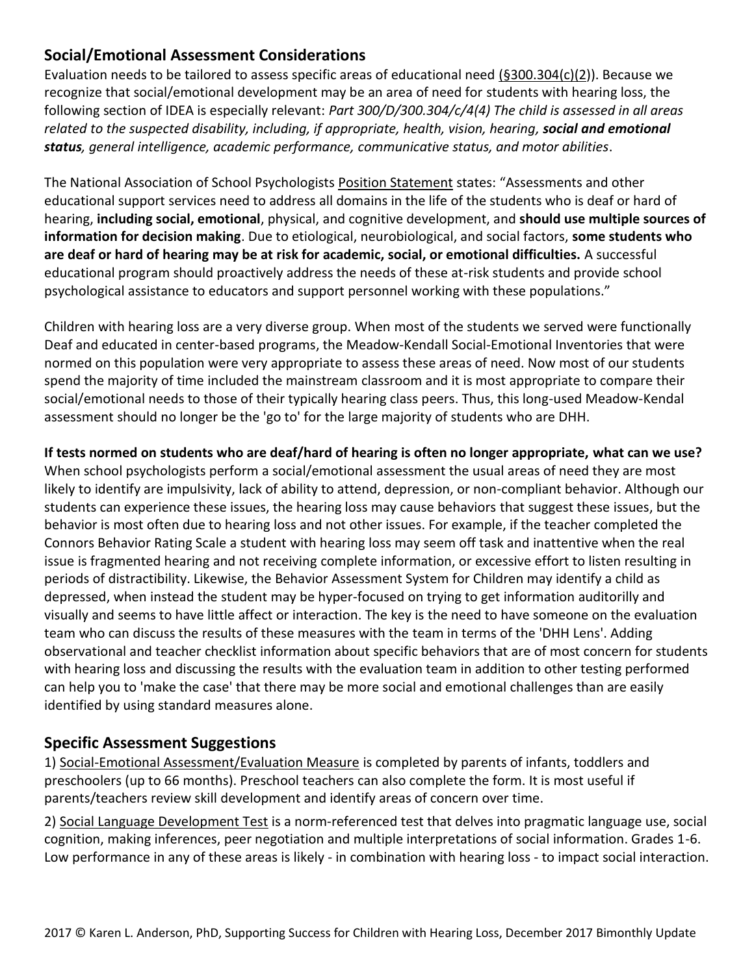### **Social/Emotional Assessment Considerations**

Evaluation needs to be tailored to assess specific areas of educational need [\(§300.304\(c\)\(2\)](http://idea.ed.gov/explore/view/p/,root,regs,300,D,300.304,c,2,.html)). Because we recognize that social/emotional development may be an area of need for students with hearing loss, the following section of IDEA is especially relevant: *Part 300/D/300.304/c/4(4) The child is assessed in all areas related to the suspected disability, including, if appropriate, health, vision, hearing, social and emotional status, general intelligence, academic performance, communicative status, and motor abilities*.

The National Association of School Psychologists [Position Statement](file:///C:/Users/Karen%20L%20Anderson/Downloads/ServingStudentsWhoAreDeaf%20(2).pdf) states: "Assessments and other educational support services need to address all domains in the life of the students who is deaf or hard of hearing, **including social, emotional**, physical, and cognitive development, and **should use multiple sources of information for decision making**. Due to etiological, neurobiological, and social factors, **some students who are deaf or hard of hearing may be at risk for academic, social, or emotional difficulties.** A successful educational program should proactively address the needs of these at-risk students and provide school psychological assistance to educators and support personnel working with these populations."

Children with hearing loss are a very diverse group. When most of the students we served were functionally Deaf and educated in center-based programs, the Meadow-Kendall Social-Emotional Inventories that were normed on this population were very appropriate to assess these areas of need. Now most of our students spend the majority of time included the mainstream classroom and it is most appropriate to compare their social/emotional needs to those of their typically hearing class peers. Thus, this long-used Meadow-Kendal assessment should no longer be the 'go to' for the large majority of students who are DHH.

**If tests normed on students who are deaf/hard of hearing is often no longer appropriate, what can we use?** When school psychologists perform a social/emotional assessment the usual areas of need they are most likely to identify are impulsivity, lack of ability to attend, depression, or non-compliant behavior. Although our students can experience these issues, the hearing loss may cause behaviors that suggest these issues, but the behavior is most often due to hearing loss and not other issues. For example, if the teacher completed the Connors Behavior Rating Scale a student with hearing loss may seem off task and inattentive when the real issue is fragmented hearing and not receiving complete information, or excessive effort to listen resulting in periods of distractibility. Likewise, the Behavior Assessment System for Children may identify a child as depressed, when instead the student may be hyper-focused on trying to get information auditorilly and visually and seems to have little affect or interaction. The key is the need to have someone on the evaluation team who can discuss the results of these measures with the team in terms of the 'DHH Lens'. Adding observational and teacher checklist information about specific behaviors that are of most concern for students with hearing loss and discussing the results with the evaluation team in addition to other testing performed can help you to 'make the case' that there may be more social and emotional challenges than are easily identified by using standard measures alone.

#### **Specific Assessment Suggestions**

1) [Social-Emotional Assessment/Evaluation Measure](http://successforkidswithhearingloss.com/product/social-emotional-assessment-evaluation-measure-seam/) is completed by parents of infants, toddlers and preschoolers (up to 66 months). Preschool teachers can also complete the form. It is most useful if parents/teachers review skill development and identify areas of concern over time.

2) [Social Language Development Test](http://successforkidswithhearingloss.com/product/social-language-development-test-elementary/) is a norm-referenced test that delves into pragmatic language use, social cognition, making inferences, peer negotiation and multiple interpretations of social information. Grades 1-6. Low performance in any of these areas is likely - in combination with hearing loss - to impact social interaction.